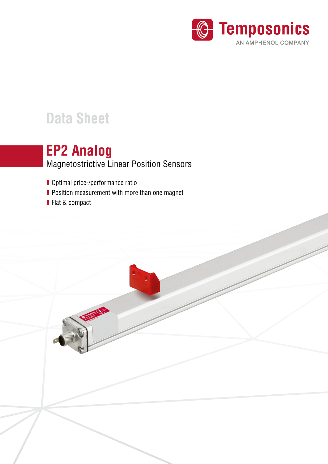

# **Data Sheet**

## Magnetostrictive Linear Position Sensors **EP2 Analog**

- **Optimal price-/performance ratio**
- **Position measurement with more than one magnet**
- **Flat & compact**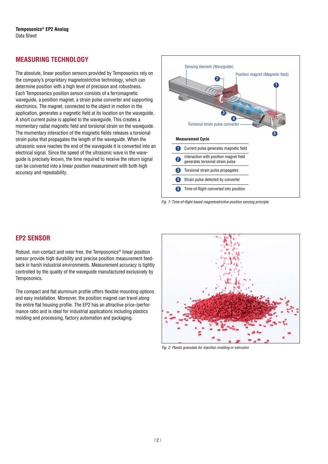#### **MEASURING TECHNOLOGY**

The absolute, linear position sensors provided by Temposonics rely on the company's proprietary magnetostrictive technology, which can determine position with a high level of precision and robustness. Each Temposonics position sensor consists of a ferromagnetic waveguide, a position magnet, a strain pulse converter and supporting electronics. The magnet, connected to the object in motion in the application, generates a magnetic field at its location on the waveguide. A short current pulse is applied to the waveguide. This creates a momentary radial magnetic field and torsional strain on the waveguide. The momentary interaction of the magnetic fields releases a torsional strain pulse that propagates the length of the waveguide. When the ultrasonic wave reaches the end of the waveguide it is converted into an electrical signal. Since the speed of the ultrasonic wave in the waveguide is precisely known, the time required to receive the return signal can be converted into a linear position measurement with both high accuracy and repeatability.



*Fig. 1:* Time-of-flight based magnetostrictive position sensing principle

#### **EP2 SENSOR**

Robust, non-contact and wear free, the Temposonics® linear position sensor provide high durability and precise position measurement feedback in harsh industrial environments. Measurement accuracy is tightly controlled by the quality of the waveguide manufactured exclusively by Temposonics.

The compact and flat aluminum profile offers flexible mounting options and easy installation. Moreover, the position magnet can travel along the entire flat housing profile. The EP2 has an attractive price-/performance ratio and is ideal for industrial applications including plastics molding and processing, factory automation and packaging.



*Fig. 2:* Plastic granulate for injection molding or extrusion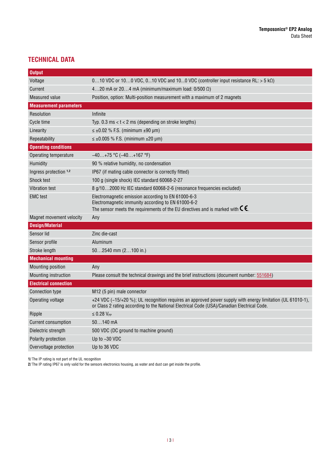#### **TECHNICAL DATA**

| <b>Output</b>                 |                                                                                                                                                                                                                     |  |  |
|-------------------------------|---------------------------------------------------------------------------------------------------------------------------------------------------------------------------------------------------------------------|--|--|
| Voltage                       | 010 VDC or 100 VDC, 010 VDC and 100 VDC (controller input resistance RL: > 5 kΩ)                                                                                                                                    |  |  |
| Current                       | 420 mA or 204 mA (minimum/maximum load: $0/500 \Omega$ )                                                                                                                                                            |  |  |
| <b>Measured value</b>         | Position, option: Multi-position measurement with a maximum of 2 magnets                                                                                                                                            |  |  |
| <b>Measurement parameters</b> |                                                                                                                                                                                                                     |  |  |
| Resolution                    | Infinite                                                                                                                                                                                                            |  |  |
| Cycle time                    | Typ. 0.3 ms $lt$ t $lt$ 2 ms (depending on stroke lengths)                                                                                                                                                          |  |  |
| Linearity                     | $\leq \pm 0.02$ % F.S. (minimum $\pm 90$ µm)                                                                                                                                                                        |  |  |
| Repeatability                 | $\leq \pm 0.005$ % F.S. (minimum $\pm 20$ µm)                                                                                                                                                                       |  |  |
| <b>Operating conditions</b>   |                                                                                                                                                                                                                     |  |  |
| Operating temperature         | $-40+75$ °C ( $-40+167$ °F)                                                                                                                                                                                         |  |  |
| Humidity                      | 90 % relative humidity, no condensation                                                                                                                                                                             |  |  |
| Ingress protection 1,2        | IP67 (if mating cable connector is correctly fitted)                                                                                                                                                                |  |  |
| Shock test                    | 100 g (single shock) IEC standard 60068-2-27                                                                                                                                                                        |  |  |
| <b>Vibration test</b>         | 8 g/102000 Hz IEC standard 60068-2-6 (resonance frequencies excluded)                                                                                                                                               |  |  |
| <b>EMC</b> test               | Electromagnetic emission according to EN 61000-6-3<br>Electromagnetic immunity according to EN 61000-6-2<br>The sensor meets the requirements of the EU directives and is marked with $\mathsf{C}\mathsf{\epsilon}$ |  |  |
| Magnet movement velocity      | Any                                                                                                                                                                                                                 |  |  |
| <b>Design/Material</b>        |                                                                                                                                                                                                                     |  |  |
| Sensor lid                    | Zinc die-cast                                                                                                                                                                                                       |  |  |
| Sensor profile                | Aluminum                                                                                                                                                                                                            |  |  |
| Stroke length                 | $502540$ mm $(2100$ in.)                                                                                                                                                                                            |  |  |
| <b>Mechanical mounting</b>    |                                                                                                                                                                                                                     |  |  |
| <b>Mounting position</b>      | Any                                                                                                                                                                                                                 |  |  |
| Mounting instruction          | Please consult the technical drawings and the brief instructions (document number: 551684)                                                                                                                          |  |  |
| <b>Electrical connection</b>  |                                                                                                                                                                                                                     |  |  |
| <b>Connection type</b>        | M12 (5 pin) male connector                                                                                                                                                                                          |  |  |
| Operating voltage             | +24 VDC (-15/+20 %); UL recognition requires an approved power supply with energy limitation (UL 61010-1),<br>or Class 2 rating according to the National Electrical Code (USA)/Canadian Electrical Code.           |  |  |
| Ripple                        | $\leq$ 0.28 $V_{PP}$                                                                                                                                                                                                |  |  |
| <b>Current consumption</b>    | $50140$ mA                                                                                                                                                                                                          |  |  |
| Dielectric strength           | 500 VDC (DC ground to machine ground)                                                                                                                                                                               |  |  |
| Polarity protection           | Up to -30 VDC                                                                                                                                                                                                       |  |  |
| Overvoltage protection        | Up to 36 VDC                                                                                                                                                                                                        |  |  |

**1/** The IP rating is not part of the UL recognition

**2/** The IP rating IP67 is only valid for the sensors electronics housing, as water and dust can get inside the profile.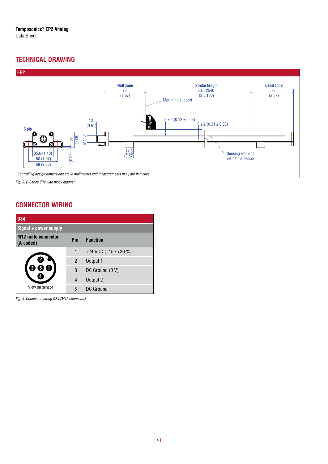#### **TECHNICAL DRAWING**



*Fig. 3:* E-Series EP2 with block magnet

#### **CONNECTOR WIRING**

| <b>D34</b>                             |     |                        |  |
|----------------------------------------|-----|------------------------|--|
| Signal + power supply                  |     |                        |  |
| <b>M12 male connector</b><br>(A-coded) | Pin | <b>Function</b>        |  |
|                                        | 1   | +24 VDC $(-15 / +20 %$ |  |
|                                        | 2   | Output 1               |  |
|                                        | 3   | DC Ground (0 V)        |  |
|                                        | 4   | Output 2               |  |
| View on sensor                         | 5   | DC Ground              |  |

*Fig. 4:* Connector wiring D34 (M12 connector)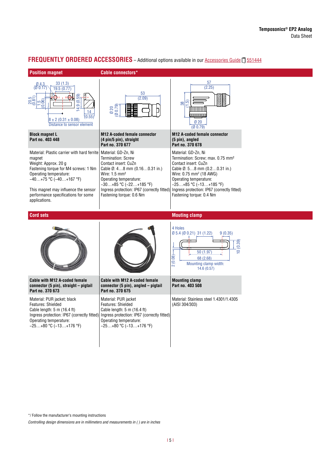### **FREQUENTLY ORDERED ACCESSORIES** - Additional options available in our [Accessories Guide](https://www.temposonics.com/literature/551444_en) [] 551444

| <b>Position magnet</b>                                                                                                                                                                                                                                                        | <b>Cable connectors*</b>                                                                                                                                                                                                                                                             |                                                                                                                                                                                                                                                                                                                    |  |
|-------------------------------------------------------------------------------------------------------------------------------------------------------------------------------------------------------------------------------------------------------------------------------|--------------------------------------------------------------------------------------------------------------------------------------------------------------------------------------------------------------------------------------------------------------------------------------|--------------------------------------------------------------------------------------------------------------------------------------------------------------------------------------------------------------------------------------------------------------------------------------------------------------------|--|
| 33(1.3)<br>$Ø$ 4.3<br>(Ø 0.17)<br>19.5 (0.77)<br>$(65.0)$ $6.5$<br>8<br>50.5<br>0.81<br>4<br>14<br>(0.55)<br>$8 \pm 2 (0.31 \pm 0.08)$<br>Distance to sensor element                                                                                                          | 53<br>(2.09)<br>Ø 20<br>Ø 0.79)                                                                                                                                                                                                                                                      | 57<br>(2.25)<br>ني<br>38<br>Ø20<br>(00.79)                                                                                                                                                                                                                                                                         |  |
| <b>Block magnet L</b><br>Part no. 403 448                                                                                                                                                                                                                                     | <b>M12 A-coded female connector</b><br>(4 pin/5 pin), straight<br>Part no. 370 677                                                                                                                                                                                                   | M12 A-coded female connector<br>(5 pin), angled<br>Part no. 370 678                                                                                                                                                                                                                                                |  |
| Material: Plastic carrier with hard ferrite<br>magnet<br>Weight: Approx. 20 g<br>Fastening torque for M4 screws: 1 Nm<br>Operating temperature:<br>$-40+75$ °C $(-40+167$ °F)<br>This magnet may influence the sensor<br>performance specifications for some<br>applications. | Material: GD-Zn, Ni<br><b>Termination: Screw</b><br>Contact insert: CuZn<br>Cable $\emptyset$ : 48 mm (0.160.31 in.)<br>Wire: $1.5 \text{ mm}^2$<br>Operating temperature:<br>$-30+85$ °C ( $-22+185$ °F)<br>Ingress protection: IP67 (correctly fitted)<br>Fastening torque: 0.6 Nm | Material: GD-Zn, Ni<br>Termination: Screw; max. 0.75 mm <sup>2</sup><br>Contact insert: CuZn<br>Cable $\emptyset$ : 58 mm (0.20.31 in.)<br>Wire: 0.75 mm <sup>2</sup> (18 AWG)<br>Operating temperature:<br>$-25+85$ °C ( $-13+185$ °F)<br>Ingress protection: IP67 (correctly fitted)<br>Fastening torque: 0.4 Nm |  |
| <b>Cord sets</b>                                                                                                                                                                                                                                                              |                                                                                                                                                                                                                                                                                      | <b>Mouting clamp</b>                                                                                                                                                                                                                                                                                               |  |
|                                                                                                                                                                                                                                                                               |                                                                                                                                                                                                                                                                                      | 4 Holes<br>Ø 5.4 (Ø 0.21) 31 (1.22)<br>9(0.35)<br>(0.39)<br>$\frac{1}{2}$<br>50 (1.97)<br>2(0.08)<br>68 (2.68)<br>Mounting clamp width:<br>14.6(0.57)                                                                                                                                                              |  |
| Cable with M12 A-coded female<br>connector (5 pin), straight - pigtail<br>Part no. 370 673                                                                                                                                                                                    | <b>Cable with M12 A-coded female</b><br>connector (5 pin), angled - pigtail<br>Part no. 370 675                                                                                                                                                                                      | <b>Mounting clamp</b><br>Part no. 403 508                                                                                                                                                                                                                                                                          |  |
| Material: PUR jacket; black<br>Features: Shielded<br>Cable length: $5 \text{ m}$ (16.4 ft)<br>Ingress protection: IP67 (correctly fitted)<br>Operating temperature:<br>$-25+80$ °C ( $-13+176$ °F)                                                                            | Material: PUR jacket<br>Features: Shielded<br>Cable length: $5 \text{ m}$ (16.4 ft)<br>Ingress protection: IP67 (correctly fitted)<br>Operating temperature:<br>$-25+80$ °C ( $-13+176$ °F)                                                                                          | Material: Stainless steel 1.4301/1.4305<br>(AISI 304/303)                                                                                                                                                                                                                                                          |  |

\*/ Follow the manufacturer's mounting instructions

Controlling design dimensions are in millimeters and measurements in ( ) are in inches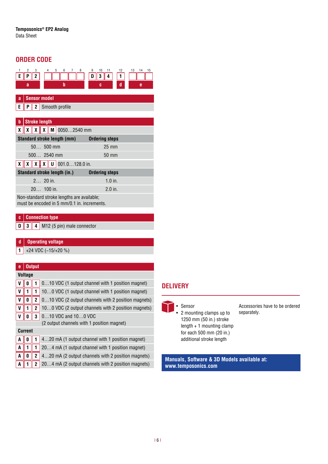#### **ORDER CODE**

**d Operating voltage**

| 5<br>2<br>3<br>6<br>4<br>7<br>8<br>2<br>E.<br>P<br>b<br>a                                              | 10<br>13<br>14<br>11<br>12<br>15<br>9<br>3<br>1<br>4<br>D<br>d<br>e<br>c |  |
|--------------------------------------------------------------------------------------------------------|--------------------------------------------------------------------------|--|
| <b>Sensor model</b><br>a                                                                               |                                                                          |  |
| $\mathsf{P}$   2   Smooth profile<br>E.                                                                |                                                                          |  |
| <b>Stroke length</b><br>b                                                                              |                                                                          |  |
| $\mathbf{X}$ $\mathbf{X}$ $\mathbf{X}$ $\mathbf{X}$ $\mathbf{M}$ 00502540 mm<br>X.                     |                                                                          |  |
| Standard stroke length (mm)                                                                            | <b>Ordering steps</b>                                                    |  |
| $50500$ mm                                                                                             | $25 \text{ mm}$                                                          |  |
| $500$ 2540 mm                                                                                          | 50 mm                                                                    |  |
| $\mathbf{X} \parallel \mathbf{X} \parallel \mathbf{X} \parallel \mathbf{X} \parallel 0$ 001.0128.0 in. |                                                                          |  |
| Standard stroke length (in.)                                                                           | <b>Ordering steps</b>                                                    |  |
| $2 20$ in.                                                                                             | $1.0$ in.                                                                |  |
| $20$ 100 in.                                                                                           | $2.0$ in.                                                                |  |
| Non-standard stroke lengths are available;<br>must be encoded in 5 mm/0.1 in. increments.              |                                                                          |  |

| c   Connection type                     |  |  |
|-----------------------------------------|--|--|
| <b>D</b> 3 4 M12 (5 pin) male connector |  |  |
|                                         |  |  |

|                                            | +24 VDC (-15/+20 %) |              |                                                     |  |  |
|--------------------------------------------|---------------------|--------------|-----------------------------------------------------|--|--|
|                                            |                     |              |                                                     |  |  |
| e                                          | <b>Output</b>       |              |                                                     |  |  |
| <b>Voltage</b>                             |                     |              |                                                     |  |  |
| V                                          | U                   |              | 010 VDC (1 output channel with 1 position magnet)   |  |  |
| V                                          |                     |              | 100 VDC (1 output channel with 1 position magnet)   |  |  |
| V                                          | 0                   | $\mathbf{2}$ | 010 VDC (2 output channels with 2 position magnets) |  |  |
| V                                          |                     | 2            | 100 VDC (2 output channels with 2 position magnets) |  |  |
|                                            | 0                   | 3            | 010 VDC and 100 VDC                                 |  |  |
| (2 output channels with 1 position magnet) |                     |              |                                                     |  |  |
| <b>Current</b>                             |                     |              |                                                     |  |  |
| A                                          | 0                   |              | 420 mA (1 output channel with 1 position magnet)    |  |  |
| A                                          | 1                   |              | 204 mA (1 output channel with 1 position magnet)    |  |  |
| A                                          | 0                   | 2            | 420 mA (2 output channels with 2 position magnets)  |  |  |
| A                                          |                     | 2            | 204 mA (2 output channels with 2 position magnets)  |  |  |

#### **DELIVERY**

• Sensor • 2 mounting clamps up to 1250 mm (50 in.) stroke length + 1 mounting clamp for each 500 mm (20 in.) additional stroke length

Accessories have to be ordered separately.

**Manuals, Software & 3D Models available at: www.temposonics.com**